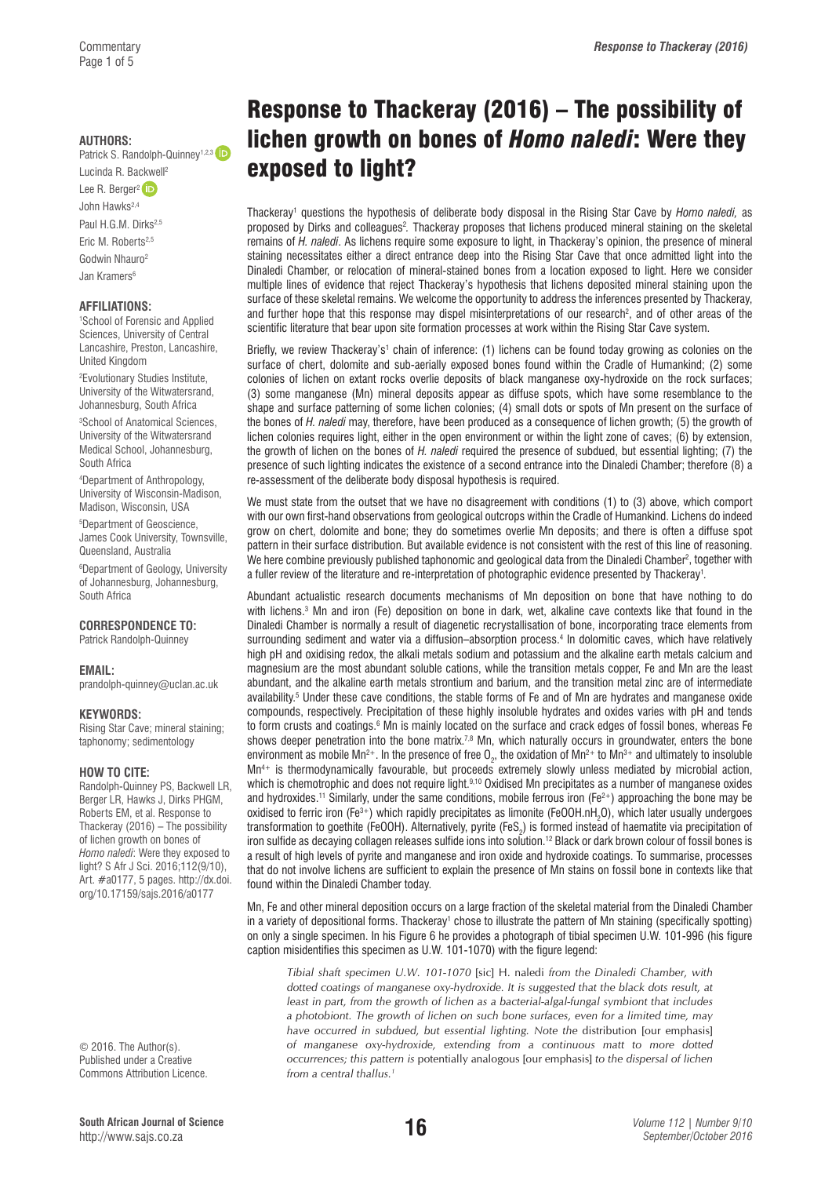#### **AUTHORS:**

Patrick S. Randolph-Quinney<sup>1,2,3</sup>

Lucinda R. Backwell2 Lee R. Berger<sup>2</sup>

John Hawks2,4

Paul H.G.M. Dirks<sup>2,5</sup>

Eric M. Roberts<sup>2,5</sup>

Godwin Nhauro2

Jan Kramers<sup>6</sup>

### **AFFILIATIONS:**

1 School of Forensic and Applied Sciences, University of Central Lancashire, Preston, Lancashire, United Kingdom

2 Evolutionary Studies Institute, University of the Witwatersrand, Johannesburg, South Africa

3 School of Anatomical Sciences, University of the Witwatersrand Medical School, Johannesburg, South Africa

4 Department of Anthropology, University of Wisconsin-Madison, Madison, Wisconsin, USA

5 Department of Geoscience, James Cook University, Townsville, Queensland, Australia

6 Department of Geology, University of Johannesburg, Johannesburg, South Africa

**CORRESPONDENCE TO:** 

Patrick Randolph-Quinney

### **EMAIL:**

[prandolph-quinney@uclan.ac.uk](mailto:prandolph-quinney@uclan.ac.uk)

### **KEYWORDS:**

Rising Star Cave; mineral staining; taphonomy; sedimentology

### **HOW TO CITE:**

Randolph-Quinney PS, Backwell LR, Berger LR, Hawks J, Dirks PHGM, Roberts EM, et al. Response to Thackeray (2016) – The possibility of lichen growth on bones of *Homo naledi*: Were they exposed to light? S Afr J Sci. 2016;112(9/10), Art. #a0177, 5 pages. [http://dx.doi.](http://dx.doi.org/10.17159/sajs.2016/a0177) [org/10.17159/sajs.2016/a0177](http://dx.doi.org/10.17159/sajs.2016/a0177)

© 2016. The Author(s). Published under a Creative Commons Attribution Licence.

# Response to Thackeray (2016) – The possibility of lichen growth on bones of *Homo naledi*: Were they exposed to light?

Thackeray<sup>1</sup> questions the hypothesis of deliberate body disposal in the Rising Star Cave by *Homo naledi,* as proposed by Dirks and colleagues<sup>2</sup>. Thackeray proposes that lichens produced mineral staining on the skeletal remains of *H. naledi*. As lichens require some exposure to light, in Thackeray's opinion, the presence of mineral staining necessitates either a direct entrance deep into the Rising Star Cave that once admitted light into the Dinaledi Chamber, or relocation of mineral-stained bones from a location exposed to light. Here we consider multiple lines of evidence that reject Thackeray's hypothesis that lichens deposited mineral staining upon the surface of these skeletal remains. We welcome the opportunity to address the inferences presented by Thackeray, and further hope that this response may dispel misinterpretations of our research<sup>2</sup>, and of other areas of the scientific literature that bear upon site formation processes at work within the Rising Star Cave system.

Briefly, we review Thackeray's<sup>1</sup> chain of inference: (1) lichens can be found today growing as colonies on the surface of chert, dolomite and sub-aerially exposed bones found within the Cradle of Humankind; (2) some colonies of lichen on extant rocks overlie deposits of black manganese oxy-hydroxide on the rock surfaces; (3) some manganese (Mn) mineral deposits appear as diffuse spots, which have some resemblance to the shape and surface patterning of some lichen colonies; (4) small dots or spots of Mn present on the surface of the bones of *H. naledi* may, therefore, have been produced as a consequence of lichen growth; (5) the growth of lichen colonies requires light, either in the open environment or within the light zone of caves; (6) by extension, the growth of lichen on the bones of *H. naledi* required the presence of subdued, but essential lighting; (7) the presence of such lighting indicates the existence of a second entrance into the Dinaledi Chamber; therefore (8) a re-assessment of the deliberate body disposal hypothesis is required.

We must state from the outset that we have no disagreement with conditions (1) to (3) above, which comport with our own first-hand observations from geological outcrops within the Cradle of Humankind. Lichens do indeed grow on chert, dolomite and bone; they do sometimes overlie Mn deposits; and there is often a diffuse spot pattern in their surface distribution. But available evidence is not consistent with the rest of this line of reasoning. We here combine previously published taphonomic and geological data from the Dinaledi Chamber<sup>2</sup>, together with a fuller review of the literature and re-interpretation of photographic evidence presented by Thackeray1 *.*

Abundant actualistic research documents mechanisms of Mn deposition on bone that have nothing to do with lichens.3 Mn and iron (Fe) deposition on bone in dark, wet, alkaline cave contexts like that found in the Dinaledi Chamber is normally a result of diagenetic recrystallisation of bone, incorporating trace elements from surrounding sediment and water via a diffusion–absorption process.4 In dolomitic caves, which have relatively high pH and oxidising redox, the alkali metals sodium and potassium and the alkaline earth metals calcium and magnesium are the most abundant soluble cations, while the transition metals copper, Fe and Mn are the least abundant, and the alkaline earth metals strontium and barium, and the transition metal zinc are of intermediate availability.<sup>5</sup> Under these cave conditions, the stable forms of Fe and of Mn are hydrates and manganese oxide compounds, respectively. Precipitation of these highly insoluble hydrates and oxides varies with pH and tends to form crusts and coatings.<sup>6</sup> Mn is mainly located on the surface and crack edges of fossil bones, whereas Fe shows deeper penetration into the bone matrix.<sup>7,8</sup> Mn, which naturally occurs in groundwater, enters the bone environment as mobile Mn<sup>2+</sup>. In the presence of free O<sub>2</sub>, the oxidation of Mn<sup>2+</sup> to Mn<sup>3+</sup> and ultimately to insoluble Mn4+ is thermodynamically favourable, but proceeds extremely slowly unless mediated by microbial action, which is chemotrophic and does not require light.<sup>9,10</sup> Oxidised Mn precipitates as a number of manganese oxides and hydroxides.<sup>11</sup> Similarly, under the same conditions, mobile ferrous iron (Fe<sup>2+</sup>) approaching the bone may be oxidised to ferric iron (Fe $^{3+}$ ) which rapidly precipitates as limonite (FeOOH.nH<sub>2</sub>O), which later usually undergoes transformation to goethite (FeOOH). Alternatively, pyrite (FeS<sub>2</sub>) is formed instead of haematite via precipitation of iron sulfide as decaying collagen releases sulfide ions into solution.12 Black or dark brown colour of fossil bones is a result of high levels of pyrite and manganese and iron oxide and hydroxide coatings. To summarise, processes that do not involve lichens are sufficient to explain the presence of Mn stains on fossil bone in contexts like that found within the Dinaledi Chamber today.

Mn, Fe and other mineral deposition occurs on a large fraction of the skeletal material from the Dinaledi Chamber in a variety of depositional forms. Thackeray' chose to illustrate the pattern of Mn staining (specifically spotting) on only a single specimen. In his Figure 6 he provides a photograph of tibial specimen U.W. 101-996 (his figure caption misidentifies this specimen as U.W. 101-1070) with the figure legend:

*Tibial shaft specimen U.W. 101-1070* [sic] H. naledi *from the Dinaledi Chamber, with dotted coatings of manganese oxy-hydroxide. It is suggested that the black dots result, at least in part, from the growth of lichen as a bacterial-algal-fungal symbiont that includes a photobiont. The growth of lichen on such bone surfaces, even for a limited time, may have occurred in subdued, but essential lighting. Note the* distribution [our emphasis] *of manganese oxy-hydroxide, extending from a continuous matt to more dotted occurrences; this pattern is* potentially analogous [our emphasis] *to the dispersal of lichen from a central thallus.1*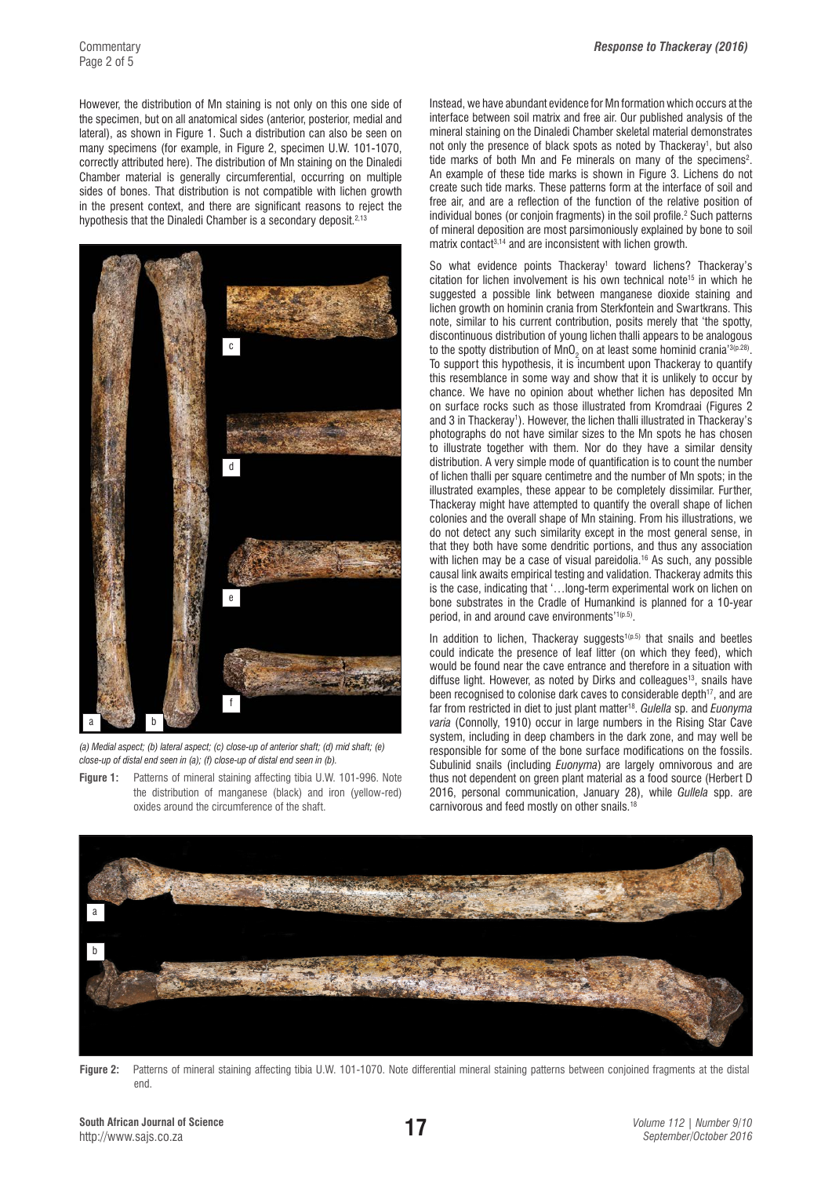However, the distribution of Mn staining is not only on this one side of the specimen, but on all anatomical sides (anterior, posterior, medial and lateral), as shown in Figure 1. Such a distribution can also be seen on many specimens (for example, in Figure 2, specimen U.W. 101-1070, correctly attributed here). The distribution of Mn staining on the Dinaledi Chamber material is generally circumferential, occurring on multiple sides of bones. That distribution is not compatible with lichen growth in the present context, and there are significant reasons to reject the hypothesis that the Dinaledi Chamber is a secondary deposit.<sup>2,13</sup>



*(a) Medial aspect; (b) lateral aspect; (c) close-up of anterior shaft; (d) mid shaft; (e) close-up of distal end seen in (a); (f) close-up of distal end seen in (b).* 

**Figure 1:** Patterns of mineral staining affecting tibia U.W. 101-996. Note the distribution of manganese (black) and iron (yellow-red) oxides around the circumference of the shaft.

Instead, we have abundant evidence for Mn formation which occurs at the interface between soil matrix and free air. Our published analysis of the mineral staining on the Dinaledi Chamber skeletal material demonstrates not only the presence of black spots as noted by Thackeray<sup>1</sup>, but also tide marks of both Mn and Fe minerals on many of the specimens<sup>2</sup>. An example of these tide marks is shown in Figure 3. Lichens do not create such tide marks. These patterns form at the interface of soil and free air, and are a reflection of the function of the relative position of individual bones (or conjoin fragments) in the soil profile.2 Such patterns of mineral deposition are most parsimoniously explained by bone to soil matrix contact<sup>3,14</sup> and are inconsistent with lichen growth.

So what evidence points Thackeray<sup>1</sup> toward lichens? Thackeray's citation for lichen involvement is his own technical note<sup>15</sup> in which he suggested a possible link between manganese dioxide staining and lichen growth on hominin crania from Sterkfontein and Swartkrans. This note, similar to his current contribution, posits merely that 'the spotty, discontinuous distribution of young lichen thalli appears to be analogous to the spotty distribution of MnO<sub>2</sub> on at least some hominid crania'3(p.28). To support this hypothesis, it is incumbent upon Thackeray to quantify this resemblance in some way and show that it is unlikely to occur by chance. We have no opinion about whether lichen has deposited Mn on surface rocks such as those illustrated from Kromdraai (Figures 2 and 3 in Thackeray<sup>1</sup>). However, the lichen thalli illustrated in Thackeray's photographs do not have similar sizes to the Mn spots he has chosen to illustrate together with them. Nor do they have a similar density distribution. A very simple mode of quantification is to count the number of lichen thalli per square centimetre and the number of Mn spots; in the illustrated examples, these appear to be completely dissimilar. Further, Thackeray might have attempted to quantify the overall shape of lichen colonies and the overall shape of Mn staining. From his illustrations, we do not detect any such similarity except in the most general sense, in that they both have some dendritic portions, and thus any association with lichen may be a case of visual pareidolia.<sup>16</sup> As such, any possible causal link awaits empirical testing and validation. Thackeray admits this is the case, indicating that '…long-term experimental work on lichen on bone substrates in the Cradle of Humankind is planned for a 10-year period, in and around cave environments'<sup>1(p.5)</sup>.

In addition to lichen. Thackeray suggests<sup>1(p.5)</sup> that snails and beetles could indicate the presence of leaf litter (on which they feed), which would be found near the cave entrance and therefore in a situation with diffuse light. However, as noted by Dirks and colleagues<sup>13</sup>, snails have been recognised to colonise dark caves to considerable depth<sup>17</sup>, and are far from restricted in diet to just plant matter18. *Gulella* sp. and *Euonyma varia* (Connolly, 1910) occur in large numbers in the Rising Star Cave system, including in deep chambers in the dark zone, and may well be responsible for some of the bone surface modifications on the fossils. Subulinid snails (including *Euonyma*) are largely omnivorous and are thus not dependent on green plant material as a food source (Herbert D 2016, personal communication, January 28), while *Gullela* spp. are carnivorous and feed mostly on other snails.18



**Figure 2:** Patterns of mineral staining affecting tibia U.W. 101-1070. Note differential mineral staining patterns between conjoined fragments at the distal end.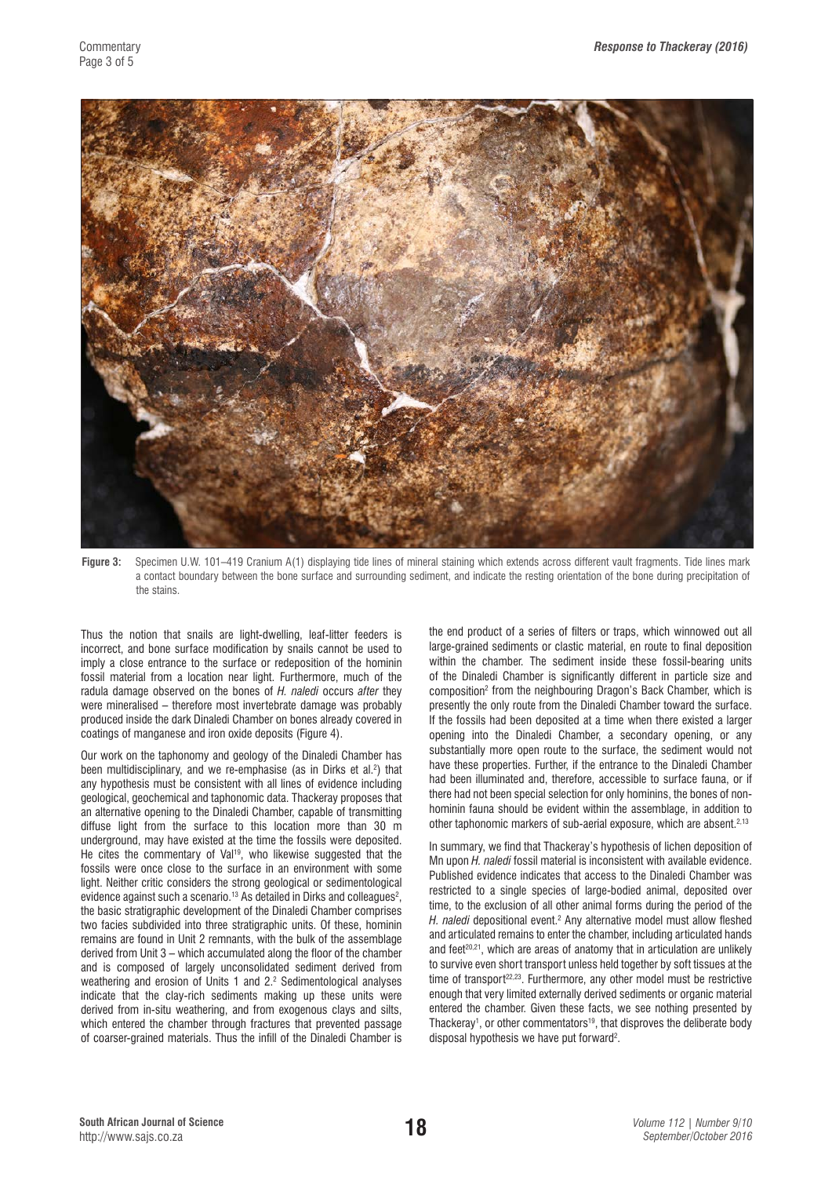

**Figure 3:** Specimen U.W. 101–419 Cranium A(1) displaying tide lines of mineral staining which extends across different vault fragments. Tide lines mark a contact boundary between the bone surface and surrounding sediment, and indicate the resting orientation of the bone during precipitation of the stains.

Thus the notion that snails are light-dwelling, leaf-litter feeders is incorrect, and bone surface modification by snails cannot be used to imply a close entrance to the surface or redeposition of the hominin fossil material from a location near light. Furthermore, much of the radula damage observed on the bones of *H. naledi* occurs *after* they were mineralised – therefore most invertebrate damage was probably produced inside the dark Dinaledi Chamber on bones already covered in coatings of manganese and iron oxide deposits (Figure 4).

Our work on the taphonomy and geology of the Dinaledi Chamber has been multidisciplinary, and we re-emphasise (as in Dirks et al.2 ) that any hypothesis must be consistent with all lines of evidence including geological, geochemical and taphonomic data. Thackeray proposes that an alternative opening to the Dinaledi Chamber, capable of transmitting diffuse light from the surface to this location more than 30 m underground, may have existed at the time the fossils were deposited. He cites the commentary of Val<sup>19</sup>, who likewise suggested that the fossils were once close to the surface in an environment with some light. Neither critic considers the strong geological or sedimentological evidence against such a scenario. $^{\text{13}}$  As detailed in Dirks and colleagues $^{\text{2}},$ the basic stratigraphic development of the Dinaledi Chamber comprises two facies subdivided into three stratigraphic units. Of these, hominin remains are found in Unit 2 remnants, with the bulk of the assemblage derived from Unit 3 – which accumulated along the floor of the chamber and is composed of largely unconsolidated sediment derived from weathering and erosion of Units 1 and 2.<sup>2</sup> Sedimentological analyses indicate that the clay-rich sediments making up these units were derived from in-situ weathering, and from exogenous clays and silts, which entered the chamber through fractures that prevented passage of coarser-grained materials. Thus the infill of the Dinaledi Chamber is

the end product of a series of filters or traps, which winnowed out all large-grained sediments or clastic material, en route to final deposition within the chamber. The sediment inside these fossil-bearing units of the Dinaledi Chamber is significantly different in particle size and composition2 from the neighbouring Dragon's Back Chamber, which is presently the only route from the Dinaledi Chamber toward the surface. If the fossils had been deposited at a time when there existed a larger opening into the Dinaledi Chamber, a secondary opening, or any substantially more open route to the surface, the sediment would not have these properties. Further, if the entrance to the Dinaledi Chamber had been illuminated and, therefore, accessible to surface fauna, or if there had not been special selection for only hominins, the bones of nonhominin fauna should be evident within the assemblage, in addition to other taphonomic markers of sub-aerial exposure, which are absent.<sup>2,13</sup>

In summary, we find that Thackeray's hypothesis of lichen deposition of Mn upon *H. naledi* fossil material is inconsistent with available evidence. Published evidence indicates that access to the Dinaledi Chamber was restricted to a single species of large-bodied animal, deposited over time, to the exclusion of all other animal forms during the period of the H. naledi depositional event.<sup>2</sup> Any alternative model must allow fleshed and articulated remains to enter the chamber, including articulated hands and feet<sup>20,21</sup>, which are areas of anatomy that in articulation are unlikely to survive even short transport unless held together by soft tissues at the time of transport<sup>22,23</sup>. Furthermore, any other model must be restrictive enough that very limited externally derived sediments or organic material entered the chamber. Given these facts, we see nothing presented by Thackeray<sup>1</sup>, or other commentators<sup>19</sup>, that disproves the deliberate body disposal hypothesis we have put forward<sup>2</sup>.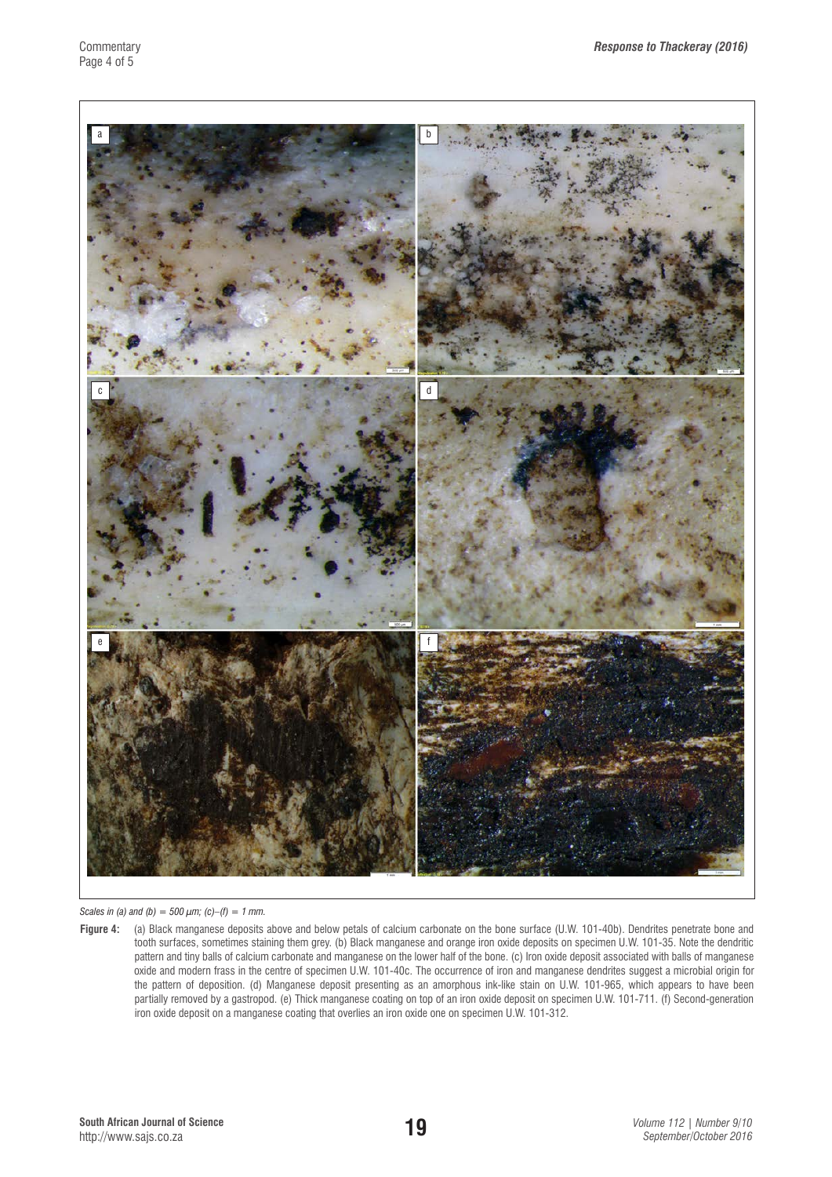

*Scales in (a) and (b) = 500*  $\mu$ *m; (c)–(f) = 1 mm.* 

**Figure 4:** (a) Black manganese deposits above and below petals of calcium carbonate on the bone surface (U.W. 101-40b). Dendrites penetrate bone and tooth surfaces, sometimes staining them grey. (b) Black manganese and orange iron oxide deposits on specimen U.W. 101-35. Note the dendritic pattern and tiny balls of calcium carbonate and manganese on the lower half of the bone. (c) Iron oxide deposit associated with balls of manganese oxide and modern frass in the centre of specimen U.W. 101-40c. The occurrence of iron and manganese dendrites suggest a microbial origin for the pattern of deposition. (d) Manganese deposit presenting as an amorphous ink-like stain on U.W. 101-965, which appears to have been partially removed by a gastropod. (e) Thick manganese coating on top of an iron oxide deposit on specimen U.W. 101-711. (f) Second-generation iron oxide deposit on a manganese coating that overlies an iron oxide one on specimen U.W. 101-312.